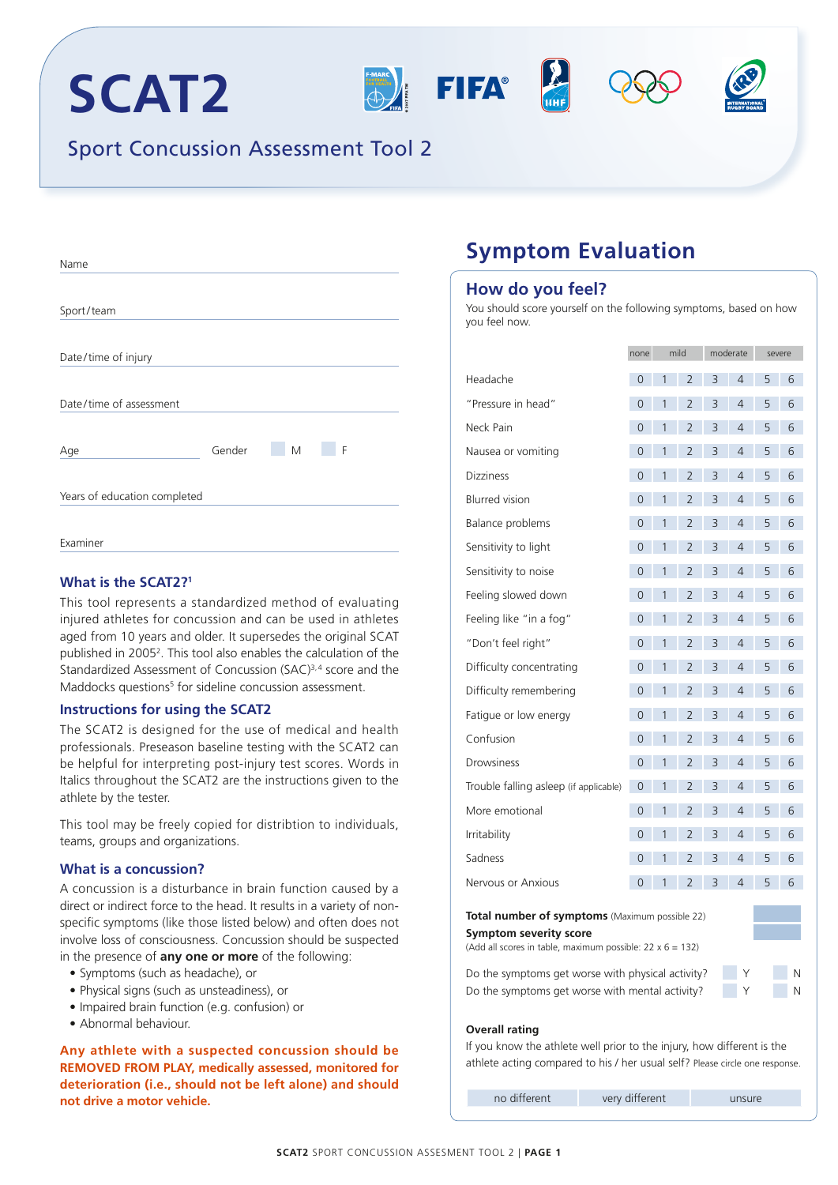

| Name                         |        |   |   |
|------------------------------|--------|---|---|
|                              |        |   |   |
| Sport/team                   |        |   |   |
|                              |        |   |   |
| Date/time of injury          |        |   |   |
|                              |        |   |   |
| Date/time of assessment      |        |   |   |
|                              |        |   |   |
| Age                          | Gender | M | F |
|                              |        |   |   |
| Years of education completed |        |   |   |
|                              |        |   |   |
| Examiner                     |        |   |   |

### **What is the SCAT2?1**

This tool represents a standardized method of evaluating injured athletes for concussion and can be used in athletes aged from 10 years and older. It supersedes the original SCAT published in 2005<sup>2</sup>. This tool also enables the calculation of the Standardized Assessment of Concussion (SAC)<sup>3,4</sup> score and the Maddocks questions<sup>5</sup> for sideline concussion assessment.

#### **Instructions for using the SCAT2**

The SCAT2 is designed for the use of medical and health professionals. Preseason baseline testing with the SCAT2 can be helpful for interpreting post-injury test scores. Words in Italics throughout the SCAT2 are the instructions given to the athlete by the tester.

This tool may be freely copied for distribtion to individuals, teams, groups and organizations.

### **What is a concussion?**

A concussion is a disturbance in brain function caused by a direct or indirect force to the head. It results in a variety of nonspecific symptoms (like those listed below) and often does not involve loss of consciousness. Concussion should be suspected in the presence of **any one or more** of the following:

- • Symptoms (such as headache), or
- • Physical signs (such as unsteadiness), or
- Impaired brain function (e.g. confusion) or
- • Abnormal behaviour.

**Any athlete with a suspected concussion should be REMOVED FROM PLAY, medically assessed, monitored for deterioration (i.e., should not be left alone) and should not drive a motor vehicle.**

# **Symptom Evaluation**

# **How do you feel?**

You should score yourself on the following symptoms, based on how you feel now.

|                                        | none           |                | mild           |                | moderate       | severe |   |
|----------------------------------------|----------------|----------------|----------------|----------------|----------------|--------|---|
| Headache                               | $\overline{0}$ | $\mathbf{1}$   | $\overline{2}$ | $\overline{3}$ | $\overline{4}$ | 5      | 6 |
| "Pressure in head"                     | $\overline{0}$ | 1              | $\overline{2}$ | 3              | $\overline{4}$ | 5      | 6 |
| Neck Pain                              | $\overline{0}$ | 1              | $\overline{2}$ | 3              | $\overline{4}$ | 5      | 6 |
| Nausea or vomiting                     | $\overline{0}$ | $\overline{1}$ | $\overline{2}$ | 3              | $\overline{4}$ | 5      | 6 |
| <b>Dizziness</b>                       | $\Omega$       | 1              | $\overline{2}$ | 3              | $\overline{4}$ | 5      | 6 |
| <b>Blurred</b> vision                  | $\Omega$       | 1              | $\overline{2}$ | 3              | $\overline{4}$ | 5      | 6 |
| Balance problems                       | $\Omega$       | 1              | $\overline{2}$ | $\overline{3}$ | $\overline{4}$ | 5      | 6 |
| Sensitivity to light                   | $\overline{0}$ | 1              | $\overline{2}$ | 3              | $\overline{4}$ | 5      | 6 |
| Sensitivity to noise                   | $\overline{0}$ | 1              | $\overline{2}$ | 3              | $\overline{4}$ | 5      | 6 |
| Feeling slowed down                    | $\Omega$       | 1              | $\overline{2}$ | 3              | $\overline{4}$ | 5      | 6 |
| Feeling like "in a fog"                | $\overline{0}$ | 1              | $\overline{2}$ | 3              | $\overline{4}$ | 5      | 6 |
| "Don't feel right"                     | 0              | 1              | $\overline{2}$ | 3              | $\overline{4}$ | 5      | 6 |
| Difficulty concentrating               | $\overline{0}$ | 1              | $\overline{2}$ | 3              | $\overline{4}$ | 5      | 6 |
| Difficulty remembering                 | $\Omega$       | $\mathbf{1}$   | $\overline{2}$ | 3              | $\overline{4}$ | 5      | 6 |
| Fatigue or low energy                  | $\overline{0}$ | $\mathbf{1}$   | $\overline{2}$ | 3              | $\overline{4}$ | 5      | 6 |
| Confusion                              | $\Omega$       | 1              | $\overline{2}$ | $\overline{3}$ | $\overline{4}$ | 5      | 6 |
| Drowsiness                             | $\Omega$       | 1              | $\overline{2}$ | 3              | $\overline{4}$ | 5      | 6 |
| Trouble falling asleep (if applicable) | $\Omega$       | 1              | $\overline{2}$ | $\overline{3}$ | $\overline{4}$ | 5      | 6 |
| More emotional                         | $\Omega$       | 1              | $\overline{2}$ | 3              | $\overline{4}$ | 5      | 6 |
| Irritability                           | $\overline{0}$ | 1              | $\overline{2}$ | 3              | $\overline{4}$ | 5      | 6 |
| Sadness                                | 0              | 1              | 2              | 3              | $\overline{4}$ | 5      | 6 |
| Nervous or Anxious                     | $\overline{0}$ | 1              | $\overline{2}$ | 3              | $\overline{4}$ | 5      | 6 |

**Total number of symptoms** (Maximum possible 22) **Symptom severity score**

(Add all scores in table, maximum possible:  $22 \times 6 = 132$ )

Do the symptoms get worse with physical activity?  $\begin{array}{|c|c|c|c|c|c|}\hline \text{N} & \text{N} \\\hline \end{array}$ Do the symptoms get worse with mental activity?  $\begin{array}{|c|c|c|c|c|c|}\hline & Y & \hline & N \\\hline \end{array}$ 

#### **Overall rating**

If you know the athlete well prior to the injury, how different is the athlete acting compared to his / her usual self? Please circle one response.

no different very different unsure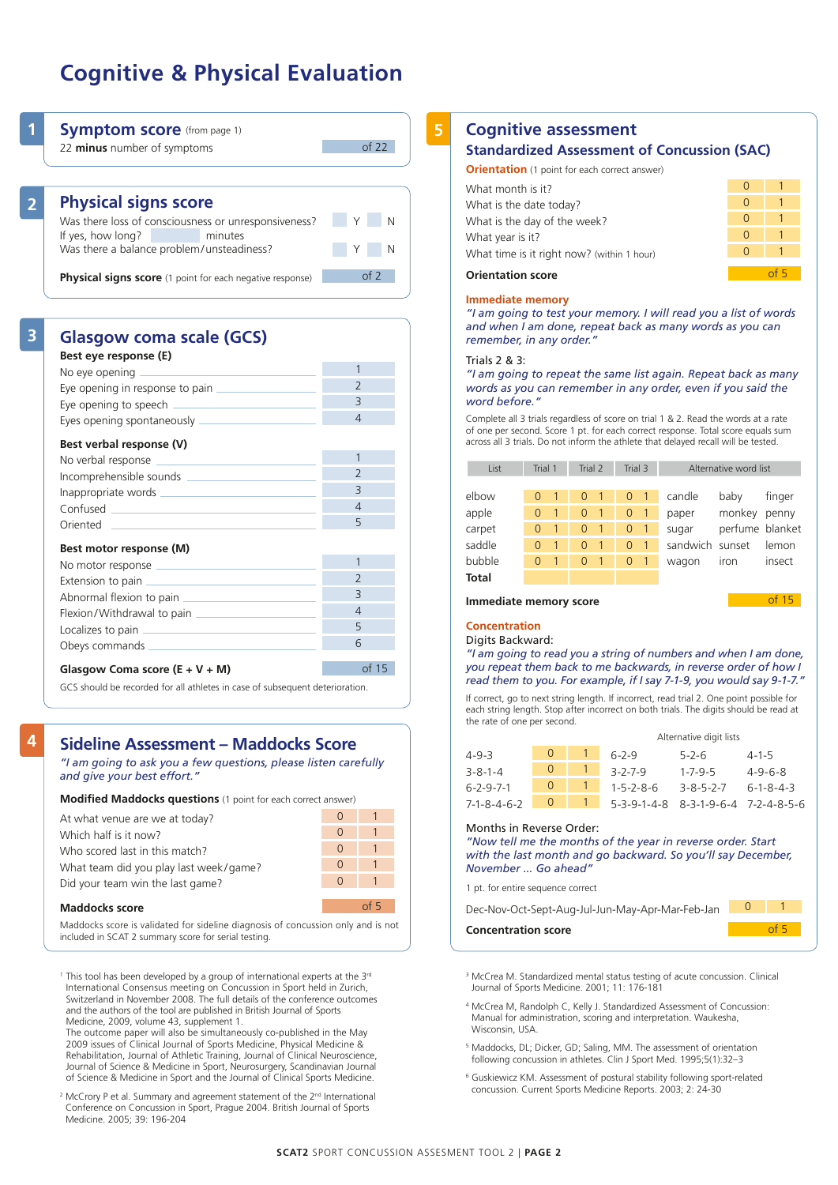# **Cognitive & Physical Evaluation**



**Physical signs score** (1 point for each negative response) of 2

| <b>Glasgow coma scale (GCS)</b><br>Best eye response (E)                                                                                                                                                                             |                          |
|--------------------------------------------------------------------------------------------------------------------------------------------------------------------------------------------------------------------------------------|--------------------------|
|                                                                                                                                                                                                                                      | 1                        |
| Eye opening in response to pain                                                                                                                                                                                                      | $\overline{\phantom{0}}$ |
| Eye opening to speech <b>contained</b> a state of the state of the state of the state of the state of the state of the                                                                                                               | $\overline{3}$           |
| Eyes opening spontaneously                                                                                                                                                                                                           | $\overline{4}$           |
| Best verbal response (V)                                                                                                                                                                                                             |                          |
| No verbal response                                                                                                                                                                                                                   | 1                        |
|                                                                                                                                                                                                                                      | $\overline{\phantom{0}}$ |
|                                                                                                                                                                                                                                      | $\overline{\mathcal{E}}$ |
|                                                                                                                                                                                                                                      | $\overline{4}$           |
| Oriented <b>Director Contract Contract Contract Contract Contract Contract Contract Contract Contract Contract Contract Contract Contract Contract Contract Contract Contract Contract Contract Contract Contract Contract Con</b>   | 5                        |
| Best motor response (M)                                                                                                                                                                                                              |                          |
| No motor response                                                                                                                                                                                                                    | 1                        |
| Extension to pain <u>and the contract of the second contract of the second contract of the second contract of the second contract of the second contract of the second contract of the second contract of the second contract of</u> | $\overline{\phantom{0}}$ |
|                                                                                                                                                                                                                                      | $\overline{\mathcal{E}}$ |
| Flexion/Withdrawal to pain                                                                                                                                                                                                           | $\overline{4}$           |
|                                                                                                                                                                                                                                      | 5                        |
| Obeys commands                                                                                                                                                                                                                       | 6                        |
| Glasgow Coma score $(E + V + M)$                                                                                                                                                                                                     | of 15                    |

GCS should be recorded for all athletes in case of subsequent deterioration.

#### **Sideline Assessment – Maddocks Score**

*"I am going to ask you a few questions, please listen carefully and give your best effort."*

**Modified Maddocks questions** (1 point for each correct answer)

| At what venue are we at today?         |          |  |
|----------------------------------------|----------|--|
| Which half is it now?                  | ∩        |  |
| Who scored last in this match?         | $\Omega$ |  |
| What team did you play last week/game? | $\Omega$ |  |
| Did your team win the last game?       | $\cap$   |  |
|                                        |          |  |

#### **Maddocks score** of 5

**4**

**3**

Maddocks score is validated for sideline diagnosis of concussion only and is not included in SCAT 2 summary score for serial testing.

<sup>1</sup> This tool has been developed by a group of international experts at the 3<sup>rd</sup> International Consensus meeting on Concussion in Sport held in Zurich, Switzerland in November 2008. The full details of the conference outcomes and the authors of the tool are published in British Journal of Sports Medicine, 2009, volume 43, supplement 1.

The outcome paper will also be simultaneously co-published in the May 2009 issues of Clinical Journal of Sports Medicine, Physical Medicine & Rehabilitation, Journal of Athletic Training, Journal of Clinical Neuroscience, Journal of Science & Medicine in Sport, Neurosurgery, Scandinavian Journal of Science & Medicine in Sport and the Journal of Clinical Sports Medicine.

<sup>2</sup> McCrory P et al. Summary and agreement statement of the 2<sup>nd</sup> International Conference on Concussion in Sport, Prague 2004. British Journal of Sports Medicine. 2005; 39: 196-204

#### **Cognitive assessment 5**

### **Standardized Assessment of Concussion (SAC)**

| <b>Orientation</b> (1 point for each correct answer) |                  |  |
|------------------------------------------------------|------------------|--|
| What month is it?                                    |                  |  |
| What is the date today?                              | $\Omega$         |  |
| What is the day of the week?                         | O                |  |
| What year is it?                                     |                  |  |
| What time is it right now? (within 1 hour)           | $\left( \right)$ |  |
|                                                      |                  |  |

#### **Orientation score**

#### **Immediate memory**

*"I am going to test your memory. I will read you a list of words and when I am done, repeat back as many words as you can remember, in any order."*

#### Trials  $2.8.3$

*"I am going to repeat the same list again. Repeat back as many words as you can remember in any order, even if you said the word before."*

Complete all 3 trials regardless of score on trial 1 & 2. Read the words at a rate of one per second. Score 1 pt. for each correct response. Total score equals sum across all 3 trials. Do not inform the athlete that delayed recall will be tested.

| List                                                         | Trial 1                                           |                                                               | Trial 2<br>Trial 3                                |                                                               | Alternative word list                                    |                                                                                        |                                                      |                                           |                                    |
|--------------------------------------------------------------|---------------------------------------------------|---------------------------------------------------------------|---------------------------------------------------|---------------------------------------------------------------|----------------------------------------------------------|----------------------------------------------------------------------------------------|------------------------------------------------------|-------------------------------------------|------------------------------------|
| elbow<br>apple<br>carpet<br>saddle<br>bubble<br><b>Total</b> | $\Omega$<br>$\Omega$<br>$\Omega$<br>$\Omega$<br>0 | $\overline{1}$<br>$\overline{1}$<br>-1<br>1<br>$\overline{1}$ | $\Omega$<br>$\Omega$<br>$\Omega$<br>O<br>$\Omega$ | $\overline{1}$<br>$\overline{1}$<br>-1<br>1<br>$\overline{1}$ | $\Omega$<br>$\Omega$<br>$\Omega$<br>$\Omega$<br>$\Omega$ | $\blacksquare$<br>$\overline{1}$<br>$\overline{1}$<br>$\overline{1}$<br>$\overline{1}$ | candle<br>paper<br>sugar<br>sandwich sunset<br>wagon | baby<br>monkey<br>perfume blanket<br>iron | finger<br>penny<br>lemon<br>insect |

**Immediate memory score** and the state of 15

#### **Concentration**

Digits Backward:

*"I am going to read you a string of numbers and when I am done, you repeat them back to me backwards, in reverse order of how I read them to you. For example, if I say 7-1-9, you would say 9-1-7."*

If correct, go to next string length. If incorrect, read trial 2. One point possible for each string length. Stop after incorrect on both trials. The digits should be read at the rate of one per second.

Alternative digit lists

| $4 - 9 - 3$             |  | $6 - 2 - 9$         | $5 - 2 - 6$                         | $4 - 1 - 5$         |
|-------------------------|--|---------------------|-------------------------------------|---------------------|
| $3 - 8 - 1 - 4$         |  | $3 - 7 - 7 - 9$     | $1 - 7 - 9 - 5$                     | $4 - 9 - 6 - 8$     |
| $6 - 2 - 9 - 7 - 1$     |  | $1 - 5 - 2 - 8 - 6$ | $3 - 8 - 5 - 2 - 7$                 | $6 - 1 - 8 - 4 - 3$ |
| $7 - 1 - 8 - 4 - 6 - 2$ |  |                     | 5-3-9-1-4-8 8-3-1-9-6-4 7-2-4-8-5-6 |                     |

#### Months in Reverse Order:

*"Now tell me the months of the year in reverse order. Start with the last month and go backward. So you'll say December, November ... Go ahead"*

1 pt. for entire sequence correct

| Dec-Nov-Oct-Sept-Aug-Jul-Jun-May-Apr-Mar-Feb-Jan |  |  |
|--------------------------------------------------|--|--|
| <b>Concentration score</b>                       |  |  |

- <sup>3</sup> McCrea M. Standardized mental status testing of acute concussion. Clinical Journal of Sports Medicine. 2001; 11: 176-181
- <sup>4</sup> McCrea M, Randolph C, Kelly J. Standardized Assessment of Concussion: Manual for administration, scoring and interpretation. Waukesha, Wisconsin, USA.
- <sup>5</sup> Maddocks, DL; Dicker, GD; Saling, MM. The assessment of orientation following concussion in athletes. Clin J Sport Med. 1995;5(1):32–3
- <sup>6</sup> Guskiewicz KM. Assessment of postural stability following sport-related concussion. Current Sports Medicine Reports. 2003; 2: 24-30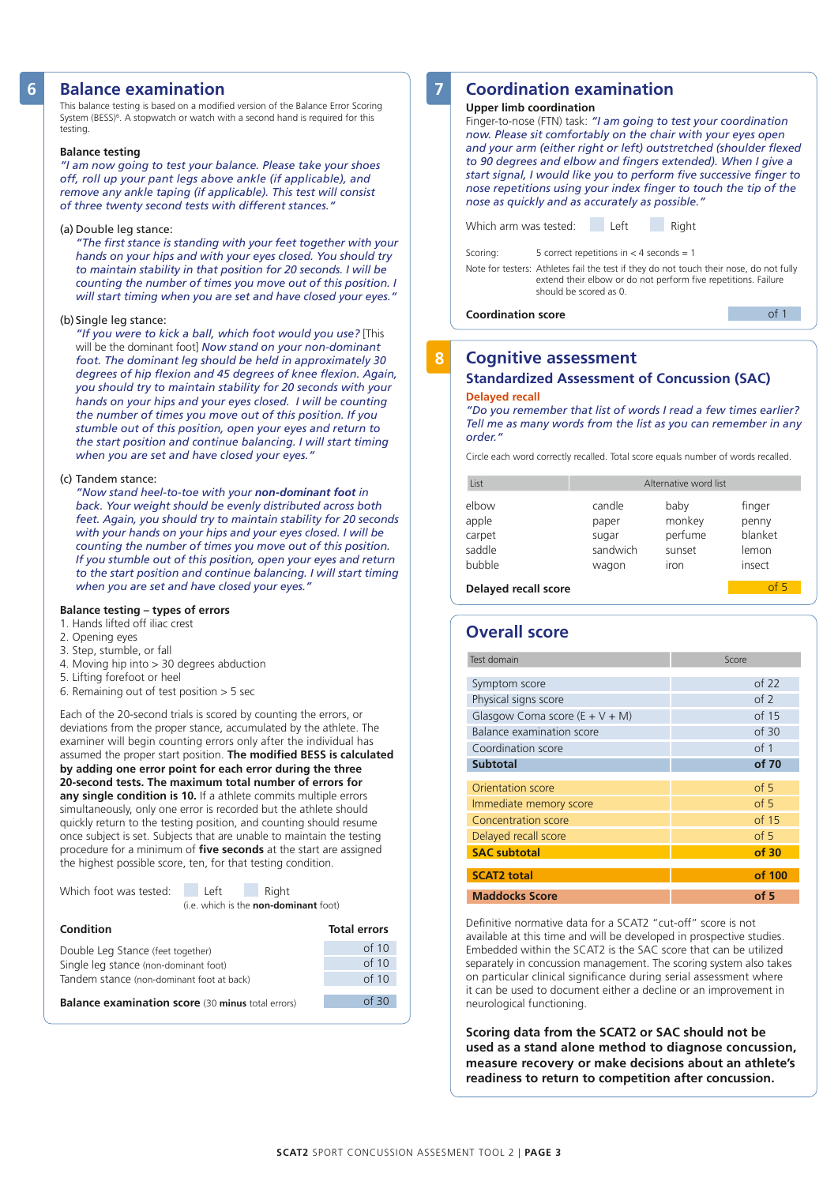# **Balance examination 6 7**

This balance testing is based on a modified version of the Balance Error Scoring System (BESS)<sup>6</sup>. A stopwatch or watch with a second hand is required for this testing.

#### **Balance testing**

*"I am now going to test your balance. Please take your shoes off, roll up your pant legs above ankle (if applicable), and remove any ankle taping (if applicable). This test will consist of three twenty second tests with different stances."*

#### (a) Double leg stance:

*"The first stance is standing with your feet together with your hands on your hips and with your eyes closed. You should try to maintain stability in that position for 20 seconds. I will be counting the number of times you move out of this position. I will start timing when you are set and have closed your eyes."*

#### (b) Single leg stance:

*"If you were to kick a ball, which foot would you use?* [This will be the dominant foot] *Now stand on your non-dominant foot. The dominant leg should be held in approximately 30 degrees of hip flexion and 45 degrees of knee flexion. Again, you should try to maintain stability for 20 seconds with your hands on your hips and your eyes closed. I will be counting the number of times you move out of this position. If you stumble out of this position, open your eyes and return to the start position and continue balancing. I will start timing when you are set and have closed your eyes."*

#### (c) Tandem stance:

*"Now stand heel-to-toe with your non-dominant foot in back. Your weight should be evenly distributed across both feet. Again, you should try to maintain stability for 20 seconds with your hands on your hips and your eyes closed. I will be counting the number of times you move out of this position. If you stumble out of this position, open your eyes and return to the start position and continue balancing. I will start timing when you are set and have closed your eyes."*

#### **Balance testing – types of errors**

- 1. Hands lifted off iliac crest
- 2. Opening eyes
- 3. Step, stumble, or fall
- 4. Moving hip into > 30 degrees abduction
- 5. Lifting forefoot or heel
- 6. Remaining out of test position > 5 sec

Each of the 20-second trials is scored by counting the errors, or deviations from the proper stance, accumulated by the athlete. The examiner will begin counting errors only after the individual has assumed the proper start position. **The modified BESS is calculated by adding one error point for each error during the three 20-second tests. The maximum total number of errors for any single condition is 10.** If a athlete commits multiple errors simultaneously, only one error is recorded but the athlete should quickly return to the testing position, and counting should resume once subject is set. Subjects that are unable to maintain the testing procedure for a minimum of **five seconds** at the start are assigned the highest possible score, ten, for that testing condition.

#### Which foot was tested: Left Right (i.e. which is the **non-dominant** foot)

| Condition                                 | <b>Total errors</b> |
|-------------------------------------------|---------------------|
| Double Leg Stance (feet together)         | of 10               |
| Single leg stance (non-dominant foot)     | of 10               |
| Tandem stance (non-dominant foot at back) | of $10$             |
|                                           |                     |

**Balance examination score** (30 **minus** total errors) of 30

# **Coordination examination**

#### **Upper limb coordination**

Finger-to-nose (FTN) task: *"I am going to test your coordination now. Please sit comfortably on the chair with your eyes open and your arm (either right or left) outstretched (shoulder flexed to 90 degrees and elbow and fingers extended). When I give a start signal, I would like you to perform five successive finger to nose repetitions using your index finger to touch the tip of the nose as quickly and as accurately as possible."*

|                                                                                                                                                  | Which arm was tested:                                                                    |  | l eft. |  | Right |  |  |
|--------------------------------------------------------------------------------------------------------------------------------------------------|------------------------------------------------------------------------------------------|--|--------|--|-------|--|--|
| 5 correct repetitions in $<$ 4 seconds = 1<br>Scoring:<br>Note for testers: Athletes fail the test if they do not touch their nose, do not fully |                                                                                          |  |        |  |       |  |  |
|                                                                                                                                                  | extend their elbow or do not perform five repetitions. Failure<br>should be scored as 0. |  |        |  |       |  |  |
|                                                                                                                                                  | <b>Coordination score</b>                                                                |  |        |  |       |  |  |

#### **Cognitive assessment 8**

#### **Standardized Assessment of Concussion (SAC) Delayed recall**

*"Do you remember that list of words I read a few times earlier? Tell me as many words from the list as you can remember in any order."*

Circle each word correctly recalled. Total score equals number of words recalled.

| List                                         | Alternative word list                         |                                             |                                               |
|----------------------------------------------|-----------------------------------------------|---------------------------------------------|-----------------------------------------------|
| elbow<br>apple<br>carpet<br>saddle<br>bubble | candle<br>paper<br>sugar<br>sandwich<br>wagon | baby<br>monkey<br>perfume<br>sunset<br>iron | finger<br>penny<br>blanket<br>lemon<br>insect |
|                                              |                                               |                                             | $-1$                                          |

**Delayed recall score** 

## **Overall score**

| Test domain                      | Score            |
|----------------------------------|------------------|
|                                  |                  |
| Symptom score                    | of 22            |
| Physical signs score             | of 2             |
| Glasgow Coma score $(E + V + M)$ | of 15            |
| Balance examination score        | of 30            |
| Coordination score               | of 1             |
| <b>Subtotal</b>                  | of 70            |
| Orientation score                | of 5             |
| Immediate memory score           | of 5             |
| Concentration score              | of 15            |
| Delayed recall score             | of 5             |
| <b>SAC subtotal</b>              | of <sub>30</sub> |
| <b>SCAT2</b> total               | of 100           |
| <b>Maddocks Score</b>            | of <sub>5</sub>  |

Definitive normative data for a SCAT2 "cut-off" score is not available at this time and will be developed in prospective studies. Embedded within the SCAT2 is the SAC score that can be utilized separately in concussion management. The scoring system also takes on particular clinical significance during serial assessment where it can be used to document either a decline or an improvement in neurological functioning.

**Scoring data from the SCAT2 or SAC should not be used as a stand alone method to diagnose concussion, measure recovery or make decisions about an athlete's readiness to return to competition after concussion.**